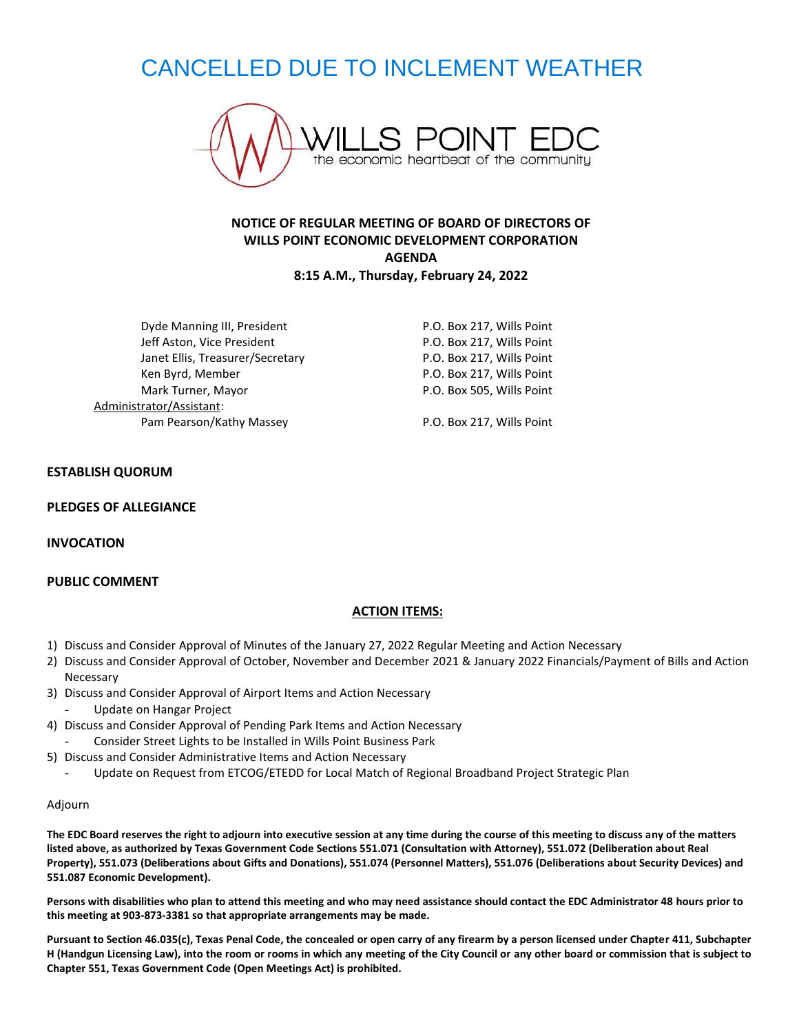# CANCELLED DUE TO INCLEMENT WEATHER



# **NOTICE OF REGULAR MEETING OF BOARD OF DIRECTORS OF WILLS POINT ECONOMIC DEVELOPMENT CORPORATION AGENDA 8:15 A.M., Thursday, February 24, 2022**

Dyde Manning III, President **P.O. Box 217, Wills Point** Jeff Aston, Vice President **P.O. Box 217, Wills Point** Janet Ellis, Treasurer/Secretary **P.O. Box 217, Wills Point** Ken Byrd, Member **National Accord P.O. Box 217, Wills Point** Mark Turner, Mayor **P.O. Box 505, Wills Point** Administrator/Assistant: Pam Pearson/Kathy Massey P.O. Box 217, Wills Point

## **ESTABLISH QUORUM**

#### **PLEDGES OF ALLEGIANCE**

**INVOCATION**

#### **PUBLIC COMMENT**

## **ACTION ITEMS:**

- 1) Discuss and Consider Approval of Minutes of the January 27, 2022 Regular Meeting and Action Necessary
- 2) Discuss and Consider Approval of October, November and December 2021 & January 2022 Financials/Payment of Bills and Action Necessary
- 3) Discuss and Consider Approval of Airport Items and Action Necessary - Update on Hangar Project
- 4) Discuss and Consider Approval of Pending Park Items and Action Necessary
- Consider Street Lights to be Installed in Wills Point Business Park
- 5) Discuss and Consider Administrative Items and Action Necessary
	- Update on Request from ETCOG/ETEDD for Local Match of Regional Broadband Project Strategic Plan

#### Adjourn

**The EDC Board reserves the right to adjourn into executive session at any time during the course of this meeting to discuss any of the matters listed above, as authorized by Texas Government Code Sections 551.071 (Consultation with Attorney), 551.072 (Deliberation about Real Property), 551.073 (Deliberations about Gifts and Donations), 551.074 (Personnel Matters), 551.076 (Deliberations about Security Devices) and 551.087 Economic Development).**

**Persons with disabilities who plan to attend this meeting and who may need assistance should contact the EDC Administrator 48 hours prior to this meeting at 903-873-3381 so that appropriate arrangements may be made.**

**Pursuant to Section 46.035(c), Texas Penal Code, the concealed or open carry of any firearm by a person licensed under Chapter 411, Subchapter H (Handgun Licensing Law), into the room or rooms in which any meeting of the City Council or any other board or commission that is subject to Chapter 551, Texas Government Code (Open Meetings Act) is prohibited.**